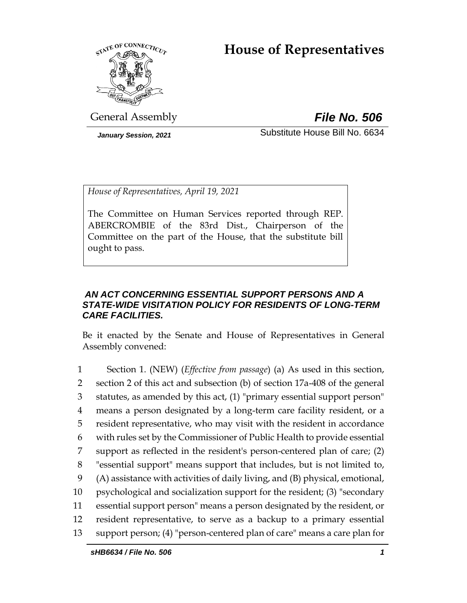# **House of Representatives**



General Assembly *File No. 506*

*January Session, 2021* Substitute House Bill No. 6634

*House of Representatives, April 19, 2021*

The Committee on Human Services reported through REP. ABERCROMBIE of the 83rd Dist., Chairperson of the Committee on the part of the House, that the substitute bill ought to pass.

# *AN ACT CONCERNING ESSENTIAL SUPPORT PERSONS AND A STATE-WIDE VISITATION POLICY FOR RESIDENTS OF LONG-TERM CARE FACILITIES.*

Be it enacted by the Senate and House of Representatives in General Assembly convened:

 Section 1. (NEW) (*Effective from passage*) (a) As used in this section, section 2 of this act and subsection (b) of section 17a-408 of the general statutes, as amended by this act, (1) "primary essential support person" means a person designated by a long-term care facility resident, or a resident representative, who may visit with the resident in accordance with rules set by the Commissioner of Public Health to provide essential support as reflected in the resident's person-centered plan of care; (2) "essential support" means support that includes, but is not limited to, (A) assistance with activities of daily living, and (B) physical, emotional, psychological and socialization support for the resident; (3) "secondary essential support person" means a person designated by the resident, or resident representative, to serve as a backup to a primary essential support person; (4) "person-centered plan of care" means a care plan for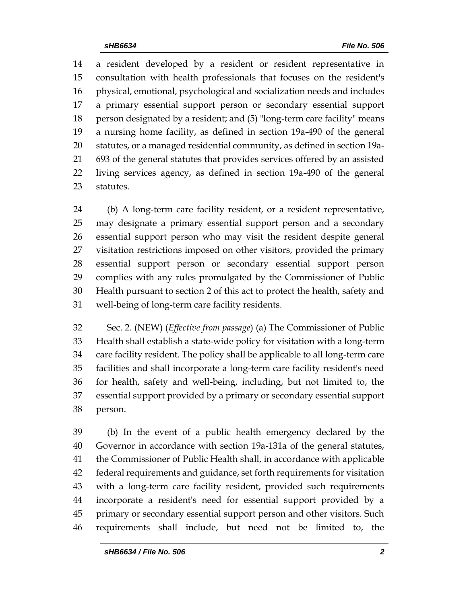a resident developed by a resident or resident representative in consultation with health professionals that focuses on the resident's physical, emotional, psychological and socialization needs and includes a primary essential support person or secondary essential support person designated by a resident; and (5) "long-term care facility" means a nursing home facility, as defined in section 19a-490 of the general statutes, or a managed residential community, as defined in section 19a- 693 of the general statutes that provides services offered by an assisted living services agency, as defined in section 19a-490 of the general statutes.

 (b) A long-term care facility resident, or a resident representative, may designate a primary essential support person and a secondary essential support person who may visit the resident despite general visitation restrictions imposed on other visitors, provided the primary essential support person or secondary essential support person complies with any rules promulgated by the Commissioner of Public Health pursuant to section 2 of this act to protect the health, safety and well-being of long-term care facility residents.

 Sec. 2. (NEW) (*Effective from passage*) (a) The Commissioner of Public Health shall establish a state-wide policy for visitation with a long-term care facility resident. The policy shall be applicable to all long-term care facilities and shall incorporate a long-term care facility resident's need for health, safety and well-being, including, but not limited to, the essential support provided by a primary or secondary essential support person.

 (b) In the event of a public health emergency declared by the Governor in accordance with section 19a-131a of the general statutes, the Commissioner of Public Health shall, in accordance with applicable federal requirements and guidance, set forth requirements for visitation with a long-term care facility resident, provided such requirements incorporate a resident's need for essential support provided by a primary or secondary essential support person and other visitors. Such requirements shall include, but need not be limited to, the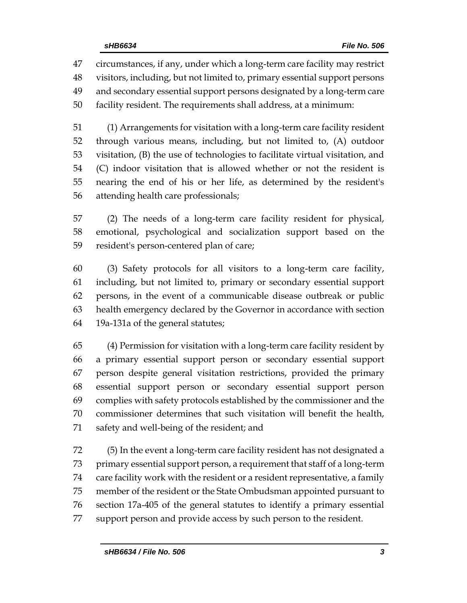circumstances, if any, under which a long-term care facility may restrict visitors, including, but not limited to, primary essential support persons and secondary essential support persons designated by a long-term care facility resident. The requirements shall address, at a minimum:

 (1) Arrangements for visitation with a long-term care facility resident through various means, including, but not limited to, (A) outdoor visitation, (B) the use of technologies to facilitate virtual visitation, and (C) indoor visitation that is allowed whether or not the resident is nearing the end of his or her life, as determined by the resident's attending health care professionals;

 (2) The needs of a long-term care facility resident for physical, emotional, psychological and socialization support based on the resident's person-centered plan of care;

 (3) Safety protocols for all visitors to a long-term care facility, including, but not limited to, primary or secondary essential support persons, in the event of a communicable disease outbreak or public health emergency declared by the Governor in accordance with section 19a-131a of the general statutes;

 (4) Permission for visitation with a long-term care facility resident by a primary essential support person or secondary essential support person despite general visitation restrictions, provided the primary essential support person or secondary essential support person complies with safety protocols established by the commissioner and the commissioner determines that such visitation will benefit the health, safety and well-being of the resident; and

 (5) In the event a long-term care facility resident has not designated a primary essential support person, a requirement that staff of a long-term care facility work with the resident or a resident representative, a family member of the resident or the State Ombudsman appointed pursuant to section 17a-405 of the general statutes to identify a primary essential support person and provide access by such person to the resident.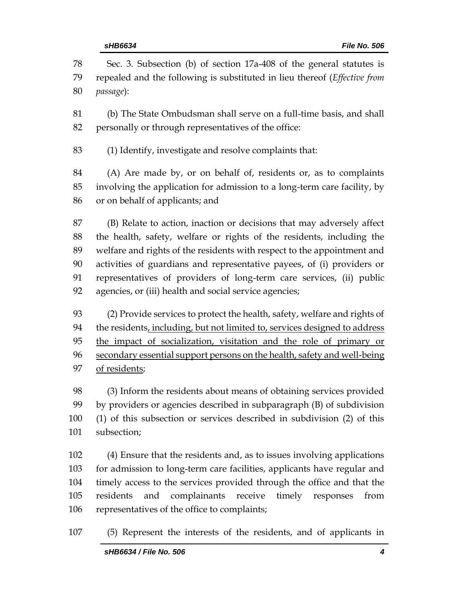| 78                              | Sec. 3. Subsection (b) of section 17a-408 of the general statutes is                                                                                                                                                                                                                                                                             |
|---------------------------------|--------------------------------------------------------------------------------------------------------------------------------------------------------------------------------------------------------------------------------------------------------------------------------------------------------------------------------------------------|
| 79                              | repealed and the following is substituted in lieu thereof (Effective from                                                                                                                                                                                                                                                                        |
| 80                              | passage):                                                                                                                                                                                                                                                                                                                                        |
| 81                              | (b) The State Ombudsman shall serve on a full-time basis, and shall                                                                                                                                                                                                                                                                              |
| 82                              | personally or through representatives of the office:                                                                                                                                                                                                                                                                                             |
| 83                              | (1) Identify, investigate and resolve complaints that:                                                                                                                                                                                                                                                                                           |
| 84                              | (A) Are made by, or on behalf of, residents or, as to complaints                                                                                                                                                                                                                                                                                 |
| 85                              | involving the application for admission to a long-term care facility, by                                                                                                                                                                                                                                                                         |
| 86                              | or on behalf of applicants; and                                                                                                                                                                                                                                                                                                                  |
| 87                              | (B) Relate to action, inaction or decisions that may adversely affect                                                                                                                                                                                                                                                                            |
| 88                              | the health, safety, welfare or rights of the residents, including the                                                                                                                                                                                                                                                                            |
| 89                              | welfare and rights of the residents with respect to the appointment and                                                                                                                                                                                                                                                                          |
| 90                              | activities of guardians and representative payees, of (i) providers or                                                                                                                                                                                                                                                                           |
| 91                              | representatives of providers of long-term care services, (ii) public                                                                                                                                                                                                                                                                             |
| 92                              | agencies, or (iii) health and social service agencies;                                                                                                                                                                                                                                                                                           |
| 93                              | (2) Provide services to protect the health, safety, welfare and rights of                                                                                                                                                                                                                                                                        |
| 94                              | the residents, including, but not limited to, services designed to address                                                                                                                                                                                                                                                                       |
| 95                              | the impact of socialization, visitation and the role of primary or                                                                                                                                                                                                                                                                               |
| 96                              | secondary essential support persons on the health, safety and well-being                                                                                                                                                                                                                                                                         |
| 97                              | of residents;                                                                                                                                                                                                                                                                                                                                    |
| 98                              | (3) Inform the residents about means of obtaining services provided                                                                                                                                                                                                                                                                              |
| 99                              | by providers or agencies described in subparagraph (B) of subdivision                                                                                                                                                                                                                                                                            |
| 100                             | (1) of this subsection or services described in subdivision (2) of this                                                                                                                                                                                                                                                                          |
| 101                             | subsection;                                                                                                                                                                                                                                                                                                                                      |
| 102<br>103<br>104<br>105<br>106 | (4) Ensure that the residents and, as to issues involving applications<br>for admission to long-term care facilities, applicants have regular and<br>timely access to the services provided through the office and that the<br>complainants receive timely responses<br>residents<br>and<br>from<br>representatives of the office to complaints; |
| 107                             | (5) Represent the interests of the residents, and of applicants in                                                                                                                                                                                                                                                                               |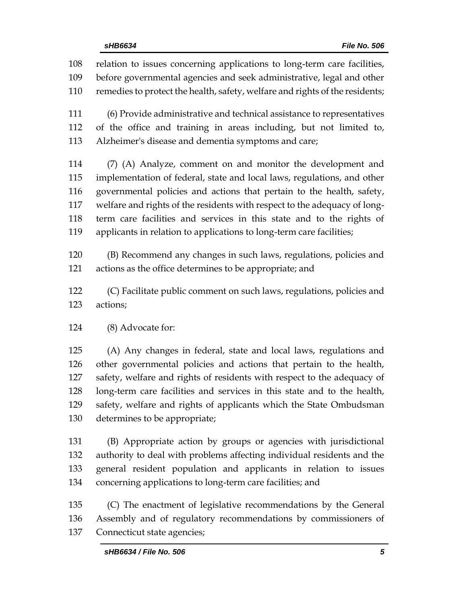relation to issues concerning applications to long-term care facilities, before governmental agencies and seek administrative, legal and other remedies to protect the health, safety, welfare and rights of the residents; (6) Provide administrative and technical assistance to representatives of the office and training in areas including, but not limited to, Alzheimer's disease and dementia symptoms and care; (7) (A) Analyze, comment on and monitor the development and implementation of federal, state and local laws, regulations, and other governmental policies and actions that pertain to the health, safety, welfare and rights of the residents with respect to the adequacy of long- term care facilities and services in this state and to the rights of applicants in relation to applications to long-term care facilities; (B) Recommend any changes in such laws, regulations, policies and actions as the office determines to be appropriate; and (C) Facilitate public comment on such laws, regulations, policies and actions; (8) Advocate for: (A) Any changes in federal, state and local laws, regulations and other governmental policies and actions that pertain to the health, safety, welfare and rights of residents with respect to the adequacy of long-term care facilities and services in this state and to the health, safety, welfare and rights of applicants which the State Ombudsman determines to be appropriate; (B) Appropriate action by groups or agencies with jurisdictional authority to deal with problems affecting individual residents and the general resident population and applicants in relation to issues concerning applications to long-term care facilities; and

 (C) The enactment of legislative recommendations by the General Assembly and of regulatory recommendations by commissioners of Connecticut state agencies;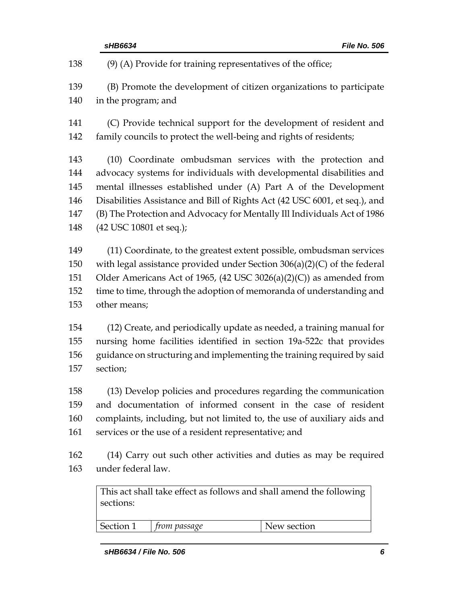| sHB6634                                                                                                                                                                                                                             |                                                                                                                                                                                                                                                                                                                                                                                             |  | File No. 506                                                                                                                                                                                                                                                                                      |
|-------------------------------------------------------------------------------------------------------------------------------------------------------------------------------------------------------------------------------------|---------------------------------------------------------------------------------------------------------------------------------------------------------------------------------------------------------------------------------------------------------------------------------------------------------------------------------------------------------------------------------------------|--|---------------------------------------------------------------------------------------------------------------------------------------------------------------------------------------------------------------------------------------------------------------------------------------------------|
|                                                                                                                                                                                                                                     | $(9)$ (A) Provide for training representatives of the office;                                                                                                                                                                                                                                                                                                                               |  |                                                                                                                                                                                                                                                                                                   |
|                                                                                                                                                                                                                                     | in the program; and                                                                                                                                                                                                                                                                                                                                                                         |  | (B) Promote the development of citizen organizations to participate                                                                                                                                                                                                                               |
|                                                                                                                                                                                                                                     |                                                                                                                                                                                                                                                                                                                                                                                             |  | (C) Provide technical support for the development of resident and<br>family councils to protect the well-being and rights of residents;                                                                                                                                                           |
|                                                                                                                                                                                                                                     | (10) Coordinate ombudsman services with the protection and<br>advocacy systems for individuals with developmental disabilities and<br>mental illnesses established under (A) Part A of the Development<br>Disabilities Assistance and Bill of Rights Act (42 USC 6001, et seq.), and<br>(B) The Protection and Advocacy for Mentally Ill Individuals Act of 1986<br>(42 USC 10801 et seq.); |  |                                                                                                                                                                                                                                                                                                   |
| other means;                                                                                                                                                                                                                        |                                                                                                                                                                                                                                                                                                                                                                                             |  | (11) Coordinate, to the greatest extent possible, ombudsman services<br>with legal assistance provided under Section $306(a)(2)(C)$ of the federal<br>Older Americans Act of 1965, (42 USC 3026(a)(2)(C)) as amended from<br>time to time, through the adoption of memoranda of understanding and |
| (12) Create, and periodically update as needed, a training manual for<br>nursing home facilities identified in section 19a-522c that provides<br>guidance on structuring and implementing the training required by said<br>section; |                                                                                                                                                                                                                                                                                                                                                                                             |  |                                                                                                                                                                                                                                                                                                   |
|                                                                                                                                                                                                                                     | services or the use of a resident representative; and                                                                                                                                                                                                                                                                                                                                       |  | (13) Develop policies and procedures regarding the communication<br>and documentation of informed consent in the case of resident<br>complaints, including, but not limited to, the use of auxiliary aids and                                                                                     |
|                                                                                                                                                                                                                                     | under federal law.                                                                                                                                                                                                                                                                                                                                                                          |  | (14) Carry out such other activities and duties as may be required                                                                                                                                                                                                                                |
| sections:                                                                                                                                                                                                                           |                                                                                                                                                                                                                                                                                                                                                                                             |  | This act shall take effect as follows and shall amend the following                                                                                                                                                                                                                               |
|                                                                                                                                                                                                                                     |                                                                                                                                                                                                                                                                                                                                                                                             |  |                                                                                                                                                                                                                                                                                                   |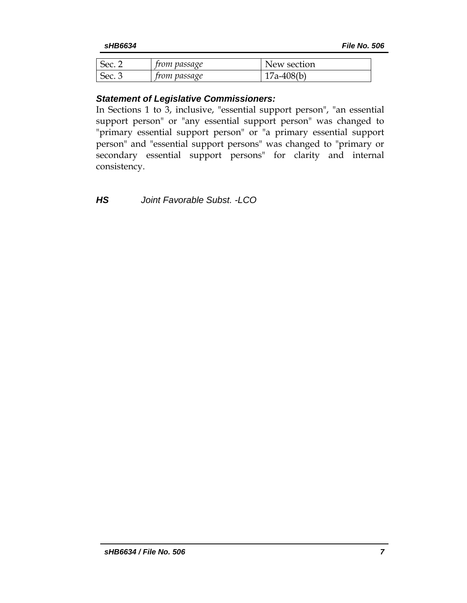| Sec.   | <i>from passage</i> | New section  |
|--------|---------------------|--------------|
| Sec. 3 | <i>from passage</i> | $17a-408(b)$ |

## *Statement of Legislative Commissioners:*

In Sections 1 to 3, inclusive, "essential support person", "an essential support person" or "any essential support person" was changed to "primary essential support person" or "a primary essential support person" and "essential support persons" was changed to "primary or secondary essential support persons" for clarity and internal consistency.

*HS Joint Favorable Subst. -LCO*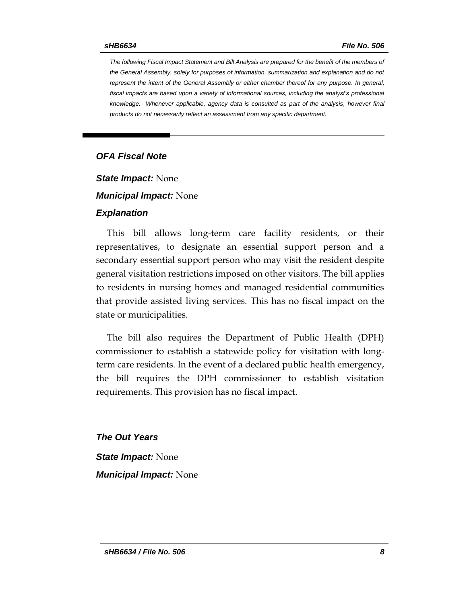*The following Fiscal Impact Statement and Bill Analysis are prepared for the benefit of the members of the General Assembly, solely for purposes of information, summarization and explanation and do not represent the intent of the General Assembly or either chamber thereof for any purpose. In general,*  fiscal impacts are based upon a variety of informational sources, including the analyst's professional *knowledge. Whenever applicable, agency data is consulted as part of the analysis, however final products do not necessarily reflect an assessment from any specific department.*

### *OFA Fiscal Note*

*State Impact:* None

*Municipal Impact:* None

#### *Explanation*

This bill allows long-term care facility residents, or their representatives, to designate an essential support person and a secondary essential support person who may visit the resident despite general visitation restrictions imposed on other visitors. The bill applies to residents in nursing homes and managed residential communities that provide assisted living services. This has no fiscal impact on the state or municipalities.

The bill also requires the Department of Public Health (DPH) commissioner to establish a statewide policy for visitation with longterm care residents. In the event of a declared public health emergency, the bill requires the DPH commissioner to establish visitation requirements. This provision has no fiscal impact.

*The Out Years State Impact:* None *Municipal Impact:* None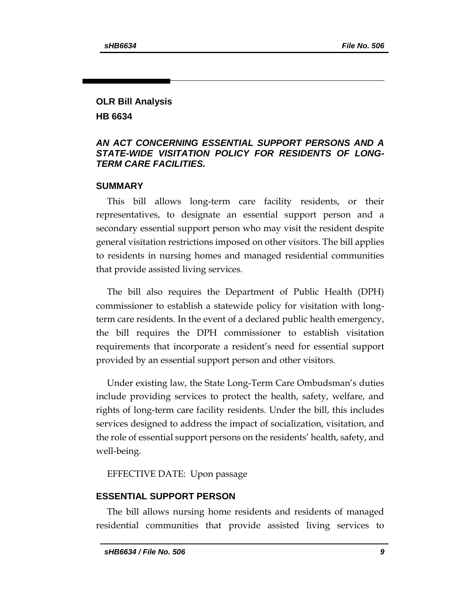# **OLR Bill Analysis HB 6634**

# *AN ACT CONCERNING ESSENTIAL SUPPORT PERSONS AND A STATE-WIDE VISITATION POLICY FOR RESIDENTS OF LONG-TERM CARE FACILITIES.*

### **SUMMARY**

This bill allows long-term care facility residents, or their representatives, to designate an essential support person and a secondary essential support person who may visit the resident despite general visitation restrictions imposed on other visitors. The bill applies to residents in nursing homes and managed residential communities that provide assisted living services.

The bill also requires the Department of Public Health (DPH) commissioner to establish a statewide policy for visitation with longterm care residents. In the event of a declared public health emergency, the bill requires the DPH commissioner to establish visitation requirements that incorporate a resident's need for essential support provided by an essential support person and other visitors.

Under existing law, the State Long-Term Care Ombudsman's duties include providing services to protect the health, safety, welfare, and rights of long-term care facility residents. Under the bill, this includes services designed to address the impact of socialization, visitation, and the role of essential support persons on the residents' health, safety, and well-being.

EFFECTIVE DATE: Upon passage

# **ESSENTIAL SUPPORT PERSON**

The bill allows nursing home residents and residents of managed residential communities that provide assisted living services to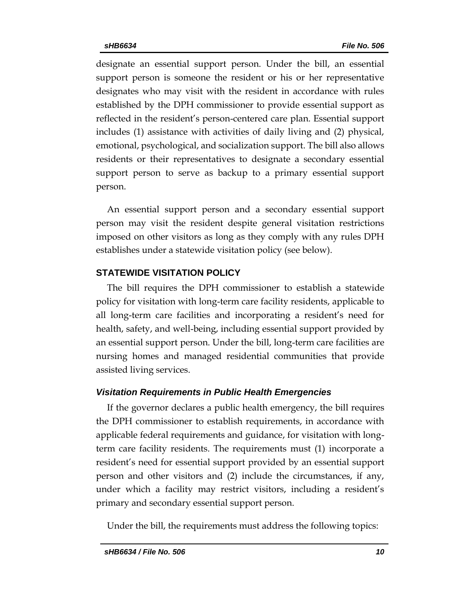designate an essential support person. Under the bill, an essential support person is someone the resident or his or her representative designates who may visit with the resident in accordance with rules established by the DPH commissioner to provide essential support as reflected in the resident's person-centered care plan. Essential support includes (1) assistance with activities of daily living and (2) physical, emotional, psychological, and socialization support. The bill also allows residents or their representatives to designate a secondary essential support person to serve as backup to a primary essential support person.

An essential support person and a secondary essential support person may visit the resident despite general visitation restrictions imposed on other visitors as long as they comply with any rules DPH establishes under a statewide visitation policy (see below).

### **STATEWIDE VISITATION POLICY**

The bill requires the DPH commissioner to establish a statewide policy for visitation with long-term care facility residents, applicable to all long-term care facilities and incorporating a resident's need for health, safety, and well-being, including essential support provided by an essential support person. Under the bill, long-term care facilities are nursing homes and managed residential communities that provide assisted living services.

### *Visitation Requirements in Public Health Emergencies*

If the governor declares a public health emergency, the bill requires the DPH commissioner to establish requirements, in accordance with applicable federal requirements and guidance, for visitation with longterm care facility residents. The requirements must (1) incorporate a resident's need for essential support provided by an essential support person and other visitors and (2) include the circumstances, if any, under which a facility may restrict visitors, including a resident's primary and secondary essential support person.

Under the bill, the requirements must address the following topics: